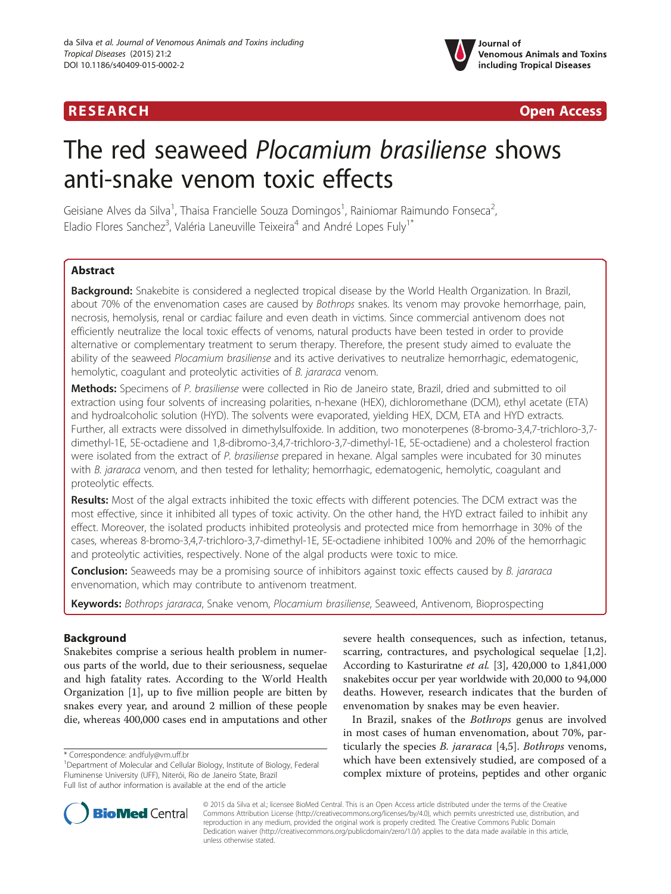## **RESEARCH CHINESE ARCH CHINESE ARCHITECT ARCHITECT ARCHITECT ARCHITECT ARCHITECT ARCHITECT ARCHITECT ARCHITECT ARCHITECT ARCHITECT ARCHITECT ARCHITECT ARCHITECT ARCHITECT ARCHITECT ARCHITECT ARCHITECT ARCHITECT ARCHITE**



# The red seaweed Plocamium brasiliense shows anti-snake venom toxic effects

Geisiane Alves da Silva<sup>1</sup>, Thaisa Francielle Souza Domingos<sup>1</sup>, Rainiomar Raimundo Fonseca<sup>2</sup> , Eladio Flores Sanchez<sup>3</sup>, Valéria Laneuville Teixeira<sup>4</sup> and André Lopes Fuly<sup>1\*</sup>

## **Abstract**

Background: Snakebite is considered a neglected tropical disease by the World Health Organization. In Brazil, about 70% of the envenomation cases are caused by Bothrops snakes. Its venom may provoke hemorrhage, pain, necrosis, hemolysis, renal or cardiac failure and even death in victims. Since commercial antivenom does not efficiently neutralize the local toxic effects of venoms, natural products have been tested in order to provide alternative or complementary treatment to serum therapy. Therefore, the present study aimed to evaluate the ability of the seaweed Plocamium brasiliense and its active derivatives to neutralize hemorrhagic, edematogenic, hemolytic, coagulant and proteolytic activities of B. jararaca venom.

Methods: Specimens of P. brasiliense were collected in Rio de Janeiro state, Brazil, dried and submitted to oil extraction using four solvents of increasing polarities, n-hexane (HEX), dichloromethane (DCM), ethyl acetate (ETA) and hydroalcoholic solution (HYD). The solvents were evaporated, yielding HEX, DCM, ETA and HYD extracts. Further, all extracts were dissolved in dimethylsulfoxide. In addition, two monoterpenes (8-bromo-3,4,7-trichloro-3,7 dimethyl-1E, 5E-octadiene and 1,8-dibromo-3,4,7-trichloro-3,7-dimethyl-1E, 5E-octadiene) and a cholesterol fraction were isolated from the extract of P. brasiliense prepared in hexane. Algal samples were incubated for 30 minutes with B. jararaca venom, and then tested for lethality; hemorrhagic, edematogenic, hemolytic, coagulant and proteolytic effects.

Results: Most of the algal extracts inhibited the toxic effects with different potencies. The DCM extract was the most effective, since it inhibited all types of toxic activity. On the other hand, the HYD extract failed to inhibit any effect. Moreover, the isolated products inhibited proteolysis and protected mice from hemorrhage in 30% of the cases, whereas 8-bromo-3,4,7-trichloro-3,7-dimethyl-1E, 5E-octadiene inhibited 100% and 20% of the hemorrhagic and proteolytic activities, respectively. None of the algal products were toxic to mice.

**Conclusion:** Seaweeds may be a promising source of inhibitors against toxic effects caused by B. jararaca envenomation, which may contribute to antivenom treatment.

Keywords: Bothrops jararaca, Snake venom, Plocamium brasiliense, Seaweed, Antivenom, Bioprospecting

## Background

Snakebites comprise a serious health problem in numerous parts of the world, due to their seriousness, sequelae and high fatality rates. According to the World Health Organization [[1\]](#page-7-0), up to five million people are bitten by snakes every year, and around 2 million of these people die, whereas 400,000 cases end in amputations and other

severe health consequences, such as infection, tetanus, scarring, contractures, and psychological sequelae [\[1,2](#page-7-0)]. According to Kasturiratne et al. [\[3](#page-7-0)], 420,000 to 1,841,000 snakebites occur per year worldwide with 20,000 to 94,000 deaths. However, research indicates that the burden of envenomation by snakes may be even heavier.

In Brazil, snakes of the Bothrops genus are involved in most cases of human envenomation, about 70%, particularly the species *B. jararaca* [[4,5\]](#page-7-0). *Bothrops* venoms, which have been extensively studied, are composed of a complex mixture of proteins, peptides and other organic



© 2015 da Silva et al.; licensee BioMed Central. This is an Open Access article distributed under the terms of the Creative Commons Attribution License [\(http://creativecommons.org/licenses/by/4.0\)](http://creativecommons.org/licenses/by/4.0), which permits unrestricted use, distribution, and reproduction in any medium, provided the original work is properly credited. The Creative Commons Public Domain Dedication waiver [\(http://creativecommons.org/publicdomain/zero/1.0/](http://creativecommons.org/publicdomain/zero/1.0/)) applies to the data made available in this article, unless otherwise stated.

<sup>\*</sup> Correspondence: [andfuly@vm.uff.br](mailto:andfuly@vm.uff.br) <sup>1</sup>

<sup>&</sup>lt;sup>1</sup>Department of Molecular and Cellular Biology, Institute of Biology, Federal Fluminense University (UFF), Niterói, Rio de Janeiro State, Brazil Full list of author information is available at the end of the article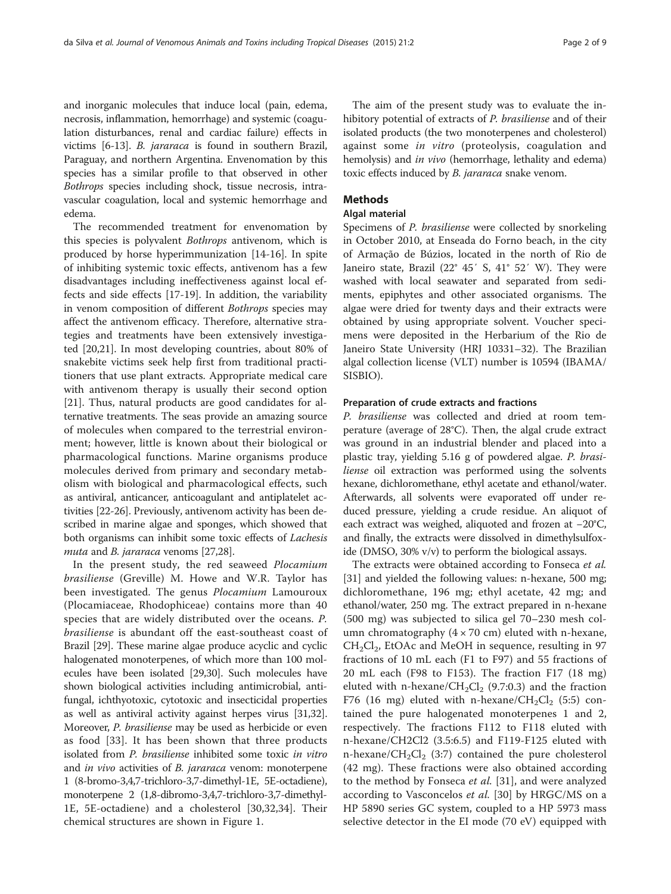and inorganic molecules that induce local (pain, edema, necrosis, inflammation, hemorrhage) and systemic (coagulation disturbances, renal and cardiac failure) effects in victims [\[6](#page-7-0)-[13](#page-7-0)]. B. jararaca is found in southern Brazil, Paraguay, and northern Argentina. Envenomation by this species has a similar profile to that observed in other Bothrops species including shock, tissue necrosis, intravascular coagulation, local and systemic hemorrhage and edema.

The recommended treatment for envenomation by this species is polyvalent Bothrops antivenom, which is produced by horse hyperimmunization [\[14](#page-7-0)-[16\]](#page-7-0). In spite of inhibiting systemic toxic effects, antivenom has a few disadvantages including ineffectiveness against local effects and side effects [\[17](#page-7-0)-[19](#page-7-0)]. In addition, the variability in venom composition of different Bothrops species may affect the antivenom efficacy. Therefore, alternative strategies and treatments have been extensively investigated [\[20,21](#page-7-0)]. In most developing countries, about 80% of snakebite victims seek help first from traditional practitioners that use plant extracts. Appropriate medical care with antivenom therapy is usually their second option [[21\]](#page-7-0). Thus, natural products are good candidates for alternative treatments. The seas provide an amazing source of molecules when compared to the terrestrial environment; however, little is known about their biological or pharmacological functions. Marine organisms produce molecules derived from primary and secondary metabolism with biological and pharmacological effects, such as antiviral, anticancer, anticoagulant and antiplatelet activities [\[22-26](#page-7-0)]. Previously, antivenom activity has been described in marine algae and sponges, which showed that both organisms can inhibit some toxic effects of Lachesis muta and *B. jararaca* venoms [[27](#page-7-0)[,28](#page-8-0)].

In the present study, the red seaweed Plocamium brasiliense (Greville) M. Howe and W.R. Taylor has been investigated. The genus *Plocamium* Lamouroux (Plocamiaceae, Rhodophiceae) contains more than 40 species that are widely distributed over the oceans. P. brasiliense is abundant off the east-southeast coast of Brazil [[29](#page-8-0)]. These marine algae produce acyclic and cyclic halogenated monoterpenes, of which more than 100 molecules have been isolated [\[29,30\]](#page-8-0). Such molecules have shown biological activities including antimicrobial, antifungal, ichthyotoxic, cytotoxic and insecticidal properties as well as antiviral activity against herpes virus [\[31,32](#page-8-0)]. Moreover, P. brasiliense may be used as herbicide or even as food [\[33](#page-8-0)]. It has been shown that three products isolated from P. brasiliense inhibited some toxic in vitro and *in vivo* activities of *B. jararaca* venom: monoterpene 1 (8-bromo-3,4,7-trichloro-3,7-dimethyl-1E, 5E-octadiene), monoterpene 2 (1,8-dibromo-3,4,7-trichloro-3,7-dimethyl-1E, 5E-octadiene) and a cholesterol [\[30](#page-8-0),[32,34\]](#page-8-0). Their chemical structures are shown in Figure [1.](#page-2-0)

The aim of the present study was to evaluate the inhibitory potential of extracts of P. brasiliense and of their isolated products (the two monoterpenes and cholesterol) against some in vitro (proteolysis, coagulation and hemolysis) and *in vivo* (hemorrhage, lethality and edema) toxic effects induced by *B. jararaca* snake venom.

## **Methods**

## Algal material

Specimens of P. brasiliense were collected by snorkeling in October 2010, at Enseada do Forno beach, in the city of Armação de Búzios, located in the north of Rio de Janeiro state, Brazil (22° 45′ S, 41° 52′ W). They were washed with local seawater and separated from sediments, epiphytes and other associated organisms. The algae were dried for twenty days and their extracts were obtained by using appropriate solvent. Voucher specimens were deposited in the Herbarium of the Rio de Janeiro State University (HRJ 10331–32). The Brazilian algal collection license (VLT) number is 10594 (IBAMA/ SISBIO).

#### Preparation of crude extracts and fractions

P. brasiliense was collected and dried at room temperature (average of 28°C). Then, the algal crude extract was ground in an industrial blender and placed into a plastic tray, yielding 5.16 g of powdered algae. P. brasiliense oil extraction was performed using the solvents hexane, dichloromethane, ethyl acetate and ethanol/water. Afterwards, all solvents were evaporated off under reduced pressure, yielding a crude residue. An aliquot of each extract was weighed, aliquoted and frozen at −20°C, and finally, the extracts were dissolved in dimethylsulfoxide (DMSO, 30% v/v) to perform the biological assays.

The extracts were obtained according to Fonseca et al. [[31\]](#page-8-0) and yielded the following values: n-hexane, 500 mg; dichloromethane, 196 mg; ethyl acetate, 42 mg; and ethanol/water, 250 mg. The extract prepared in n-hexane (500 mg) was subjected to silica gel 70–230 mesh column chromatography  $(4 \times 70 \text{ cm})$  eluted with n-hexane,  $CH_2Cl_2$ , EtOAc and MeOH in sequence, resulting in 97 fractions of 10 mL each (F1 to F97) and 55 fractions of 20 mL each (F98 to F153). The fraction F17 (18 mg) eluted with n-hexane/ $CH_2Cl_2$  (9.7:0.3) and the fraction F76 (16 mg) eluted with n-hexane/ $CH_2Cl_2$  (5:5) contained the pure halogenated monoterpenes 1 and 2, respectively. The fractions F112 to F118 eluted with n-hexane/CH2Cl2 (3.5:6.5) and F119-F125 eluted with n-hexane/ $CH_2Cl_2$  (3:7) contained the pure cholesterol (42 mg). These fractions were also obtained according to the method by Fonseca *et al.* [\[31](#page-8-0)], and were analyzed according to Vasconcelos et al. [[30\]](#page-8-0) by HRGC/MS on a HP 5890 series GC system, coupled to a HP 5973 mass selective detector in the EI mode (70 eV) equipped with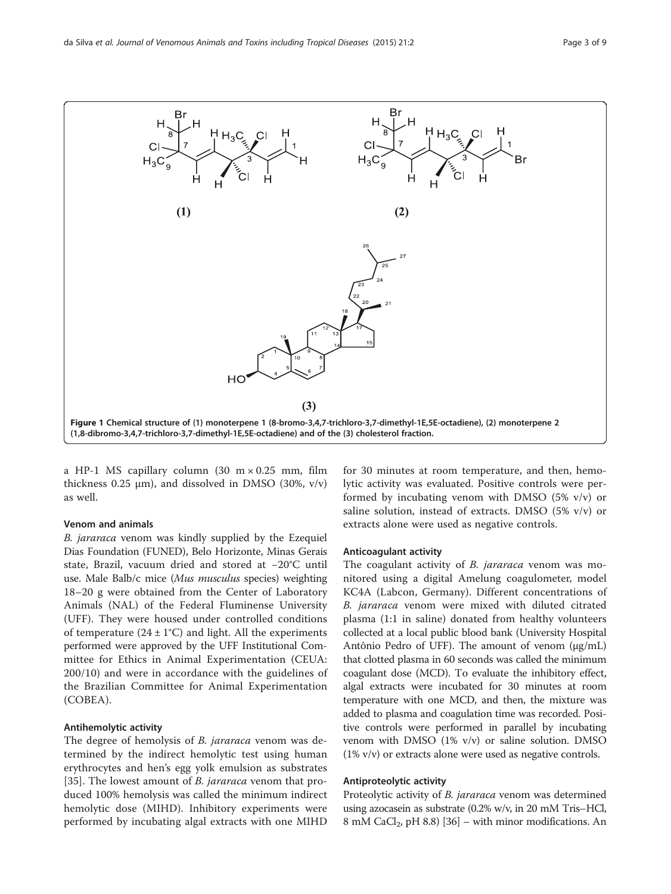<span id="page-2-0"></span>

a HP-1 MS capillary column (30  $m \times 0.25$  mm, film thickness 0.25  $\mu$ m), and dissolved in DMSO (30%, v/v) as well.

#### Venom and animals

B. jararaca venom was kindly supplied by the Ezequiel Dias Foundation (FUNED), Belo Horizonte, Minas Gerais state, Brazil, vacuum dried and stored at −20°C until use. Male Balb/c mice (Mus musculus species) weighting 18–20 g were obtained from the Center of Laboratory Animals (NAL) of the Federal Fluminense University (UFF). They were housed under controlled conditions of temperature  $(24 \pm 1^{\circ}C)$  and light. All the experiments performed were approved by the UFF Institutional Committee for Ethics in Animal Experimentation (CEUA: 200/10) and were in accordance with the guidelines of the Brazilian Committee for Animal Experimentation (COBEA).

## Antihemolytic activity

The degree of hemolysis of *B. jararaca* venom was determined by the indirect hemolytic test using human erythrocytes and hen's egg yolk emulsion as substrates [[35\]](#page-8-0). The lowest amount of *B. jararaca* venom that produced 100% hemolysis was called the minimum indirect hemolytic dose (MIHD). Inhibitory experiments were performed by incubating algal extracts with one MIHD

for 30 minutes at room temperature, and then, hemolytic activity was evaluated. Positive controls were performed by incubating venom with DMSO (5% v/v) or saline solution, instead of extracts. DMSO (5% v/v) or extracts alone were used as negative controls.

#### Anticoagulant activity

The coagulant activity of *B. jararaca* venom was monitored using a digital Amelung coagulometer, model KC4A (Labcon, Germany). Different concentrations of B. jararaca venom were mixed with diluted citrated plasma (1:1 in saline) donated from healthy volunteers collected at a local public blood bank (University Hospital Antônio Pedro of UFF). The amount of venom (μg/mL) that clotted plasma in 60 seconds was called the minimum coagulant dose (MCD). To evaluate the inhibitory effect, algal extracts were incubated for 30 minutes at room temperature with one MCD, and then, the mixture was added to plasma and coagulation time was recorded. Positive controls were performed in parallel by incubating venom with DMSO (1% v/v) or saline solution. DMSO (1% v/v) or extracts alone were used as negative controls.

#### Antiproteolytic activity

Proteolytic activity of *B. jararaca* venom was determined using azocasein as substrate (0.2% w/v, in 20 mM Tris–HCl, 8 mM CaCl<sub>2</sub>, pH 8.8) [\[36\]](#page-8-0) – with minor modifications. An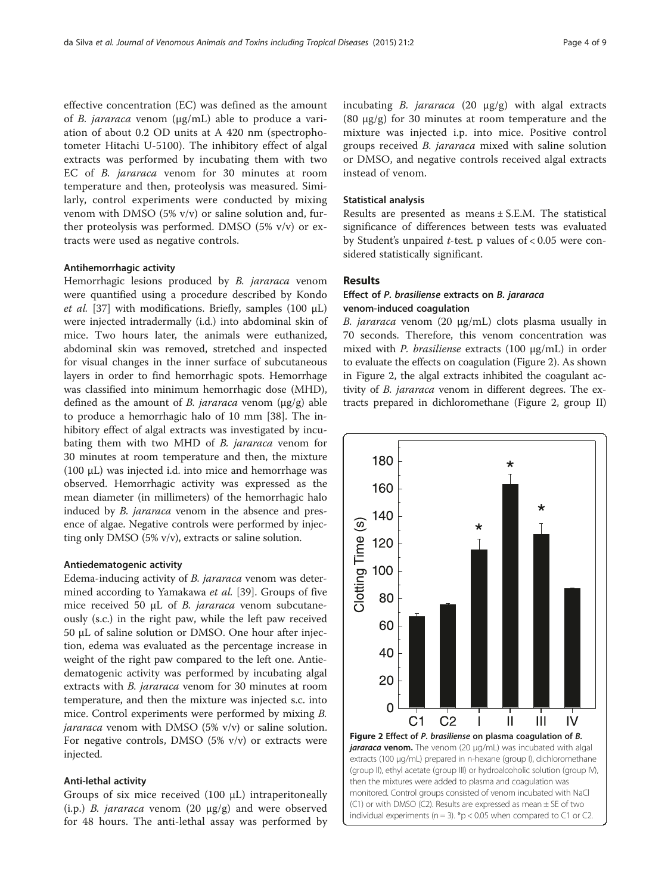<span id="page-3-0"></span>effective concentration (EC) was defined as the amount of B. jararaca venom (μg/mL) able to produce a variation of about 0.2 OD units at A 420 nm (spectrophotometer Hitachi U-5100). The inhibitory effect of algal extracts was performed by incubating them with two EC of B. jararaca venom for 30 minutes at room temperature and then, proteolysis was measured. Similarly, control experiments were conducted by mixing venom with DMSO (5% v/v) or saline solution and, further proteolysis was performed. DMSO (5% v/v) or extracts were used as negative controls.

#### Antihemorrhagic activity

Hemorrhagic lesions produced by *B. jararaca* venom were quantified using a procedure described by Kondo et al. [\[37](#page-8-0)] with modifications. Briefly, samples (100  $\mu$ L) were injected intradermally (i.d.) into abdominal skin of mice. Two hours later, the animals were euthanized, abdominal skin was removed, stretched and inspected for visual changes in the inner surface of subcutaneous layers in order to find hemorrhagic spots. Hemorrhage was classified into minimum hemorrhagic dose (MHD), defined as the amount of *B. jararaca* venom  $(\mu g/g)$  able to produce a hemorrhagic halo of 10 mm [[38\]](#page-8-0). The inhibitory effect of algal extracts was investigated by incubating them with two MHD of B. jararaca venom for 30 minutes at room temperature and then, the mixture (100 μL) was injected i.d. into mice and hemorrhage was observed. Hemorrhagic activity was expressed as the mean diameter (in millimeters) of the hemorrhagic halo induced by *B. jararaca* venom in the absence and presence of algae. Negative controls were performed by injecting only DMSO (5% v/v), extracts or saline solution.

#### Antiedematogenic activity

Edema-inducing activity of B. jararaca venom was determined according to Yamakawa *et al.* [\[39](#page-8-0)]. Groups of five mice received 50 μL of B. jararaca venom subcutaneously (s.c.) in the right paw, while the left paw received 50 μL of saline solution or DMSO. One hour after injection, edema was evaluated as the percentage increase in weight of the right paw compared to the left one. Antiedematogenic activity was performed by incubating algal extracts with *B. jararaca* venom for 30 minutes at room temperature, and then the mixture was injected s.c. into mice. Control experiments were performed by mixing B. jararaca venom with DMSO  $(5\% \text{ v/v})$  or saline solution. For negative controls, DMSO  $(5\% \text{ v/v})$  or extracts were injected.

### Anti-lethal activity

Groups of six mice received (100 μL) intraperitoneally (i.p.) *B. jararaca* venom (20  $\mu$ g/g) and were observed for 48 hours. The anti-lethal assay was performed by incubating B. jararaca  $(20 \mu g/g)$  with algal extracts (80 μg/g) for 30 minutes at room temperature and the mixture was injected i.p. into mice. Positive control groups received B. jararaca mixed with saline solution or DMSO, and negative controls received algal extracts instead of venom.

#### Statistical analysis

Results are presented as means ± S.E.M. The statistical significance of differences between tests was evaluated by Student's unpaired  $t$ -test. p values of < 0.05 were considered statistically significant.

## Results

## Effect of P. brasiliense extracts on B. jararaca venom-induced coagulation

B. jararaca venom (20 μg/mL) clots plasma usually in 70 seconds. Therefore, this venom concentration was mixed with P. brasiliense extracts (100 μg/mL) in order to evaluate the effects on coagulation (Figure 2). As shown in Figure 2, the algal extracts inhibited the coagulant activity of *B. jararaca* venom in different degrees. The extracts prepared in dichloromethane (Figure 2, group II)

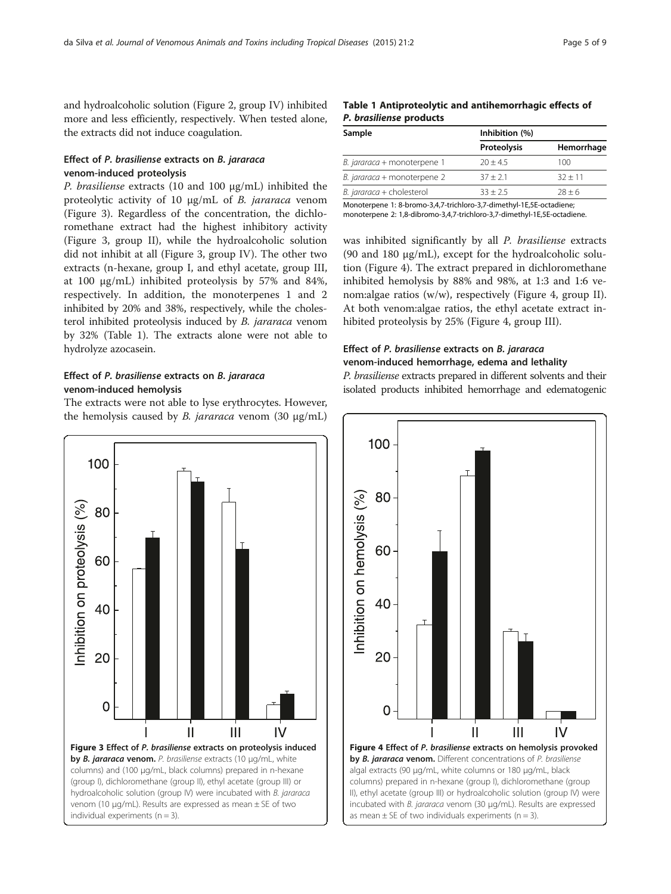<span id="page-4-0"></span>and hydroalcoholic solution (Figure [2](#page-3-0), group IV) inhibited more and less efficiently, respectively. When tested alone, the extracts did not induce coagulation.

## Effect of P. brasiliense extracts on B. jararaca venom-induced proteolysis

P. brasiliense extracts (10 and 100 μg/mL) inhibited the proteolytic activity of 10 μg/mL of B. jararaca venom (Figure 3). Regardless of the concentration, the dichloromethane extract had the highest inhibitory activity (Figure 3, group II), while the hydroalcoholic solution did not inhibit at all (Figure 3, group IV). The other two extracts (n-hexane, group I, and ethyl acetate, group III, at 100 μg/mL) inhibited proteolysis by 57% and 84%, respectively. In addition, the monoterpenes 1 and 2 inhibited by 20% and 38%, respectively, while the cholesterol inhibited proteolysis induced by B. jararaca venom by 32% (Table 1). The extracts alone were not able to hydrolyze azocasein.

## Effect of P. brasiliense extracts on B. jararaca venom-induced hemolysis

The extracts were not able to lyse erythrocytes. However, the hemolysis caused by *B. jararaca* venom  $(30 \mu g/mL)$ 



## Table 1 Antiproteolytic and antihemorrhagic effects of P. brasiliense products

| Sample                      | Inhibition (%) |            |
|-----------------------------|----------------|------------|
|                             | Proteolysis    | Hemorrhage |
| B. jararaca + monoterpene 1 | $20 + 4.5$     | 100        |
| B. jararaca + monoterpene 2 | $37 + 2.1$     | $32 + 11$  |
| B. jararaca + cholesterol   | $33 + 25$      | $78 + 6$   |
|                             |                |            |

Monoterpene 1: 8-bromo-3,4,7-trichloro-3,7-dimethyl-1E,5E-octadiene; monoterpene 2: 1,8-dibromo-3,4,7-trichloro-3,7-dimethyl-1E,5E-octadiene.

was inhibited significantly by all P. brasiliense extracts (90 and 180 μg/mL), except for the hydroalcoholic solution (Figure 4). The extract prepared in dichloromethane inhibited hemolysis by 88% and 98%, at 1:3 and 1:6 venom:algae ratios (w/w), respectively (Figure 4, group II). At both venom:algae ratios, the ethyl acetate extract inhibited proteolysis by 25% (Figure 4, group III).

## Effect of P. brasiliense extracts on B. jararaca venom-induced hemorrhage, edema and lethality

P. brasiliense extracts prepared in different solvents and their isolated products inhibited hemorrhage and edematogenic

![](_page_4_Figure_14.jpeg)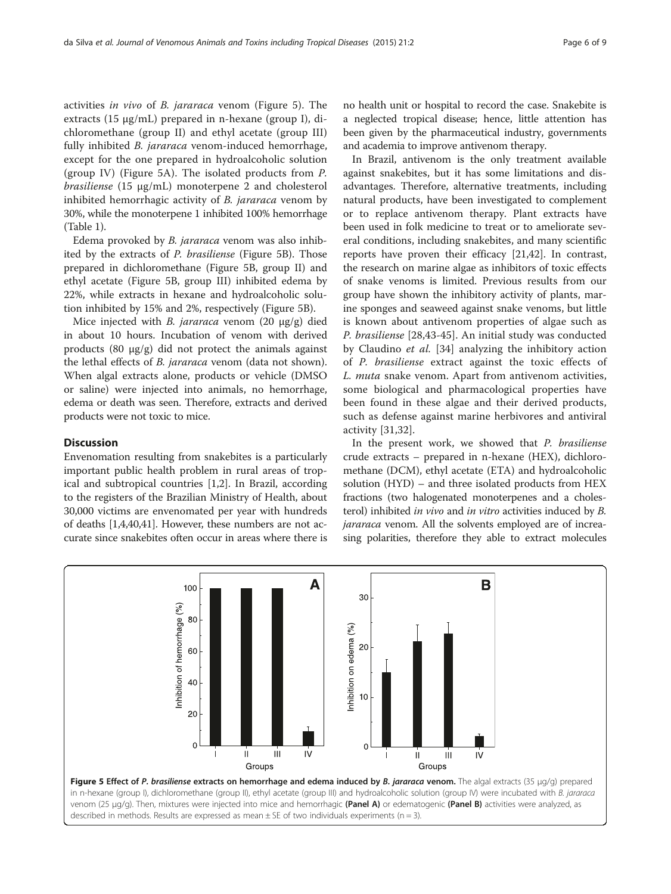activities in vivo of B. jararaca venom (Figure 5). The extracts (15 μg/mL) prepared in n-hexane (group I), dichloromethane (group II) and ethyl acetate (group III) fully inhibited B. jararaca venom-induced hemorrhage, except for the one prepared in hydroalcoholic solution (group IV) (Figure 5A). The isolated products from P. brasiliense (15 μg/mL) monoterpene 2 and cholesterol inhibited hemorrhagic activity of *B. jararaca* venom by 30%, while the monoterpene 1 inhibited 100% hemorrhage (Table [1](#page-4-0)).

Edema provoked by B. jararaca venom was also inhibited by the extracts of P. brasiliense (Figure 5B). Those prepared in dichloromethane (Figure 5B, group II) and ethyl acetate (Figure 5B, group III) inhibited edema by 22%, while extracts in hexane and hydroalcoholic solution inhibited by 15% and 2%, respectively (Figure 5B).

Mice injected with B. jararaca venom (20 μg/g) died in about 10 hours. Incubation of venom with derived products  $(80 \text{ µg/g})$  did not protect the animals against the lethal effects of B. jararaca venom (data not shown). When algal extracts alone, products or vehicle (DMSO or saline) were injected into animals, no hemorrhage, edema or death was seen. Therefore, extracts and derived products were not toxic to mice.

## **Discussion**

Envenomation resulting from snakebites is a particularly important public health problem in rural areas of tropical and subtropical countries [[1](#page-7-0),[2\]](#page-7-0). In Brazil, according to the registers of the Brazilian Ministry of Health, about 30,000 victims are envenomated per year with hundreds of deaths [[1,4,](#page-7-0)[40,41\]](#page-8-0). However, these numbers are not accurate since snakebites often occur in areas where there is

no health unit or hospital to record the case. Snakebite is a neglected tropical disease; hence, little attention has been given by the pharmaceutical industry, governments and academia to improve antivenom therapy.

In Brazil, antivenom is the only treatment available against snakebites, but it has some limitations and disadvantages. Therefore, alternative treatments, including natural products, have been investigated to complement or to replace antivenom therapy. Plant extracts have been used in folk medicine to treat or to ameliorate several conditions, including snakebites, and many scientific reports have proven their efficacy [[21](#page-7-0),[42](#page-8-0)]. In contrast, the research on marine algae as inhibitors of toxic effects of snake venoms is limited. Previous results from our group have shown the inhibitory activity of plants, marine sponges and seaweed against snake venoms, but little is known about antivenom properties of algae such as P. brasiliense [\[28,43-45](#page-8-0)]. An initial study was conducted by Claudino et al. [\[34](#page-8-0)] analyzing the inhibitory action of P. brasiliense extract against the toxic effects of L. muta snake venom. Apart from antivenom activities, some biological and pharmacological properties have been found in these algae and their derived products, such as defense against marine herbivores and antiviral activity [[31,32](#page-8-0)].

In the present work, we showed that P. brasiliense crude extracts – prepared in n-hexane (HEX), dichloromethane (DCM), ethyl acetate (ETA) and hydroalcoholic solution (HYD) – and three isolated products from HEX fractions (two halogenated monoterpenes and a cholesterol) inhibited in vivo and in vitro activities induced by B. jararaca venom. All the solvents employed are of increasing polarities, therefore they able to extract molecules

![](_page_5_Figure_10.jpeg)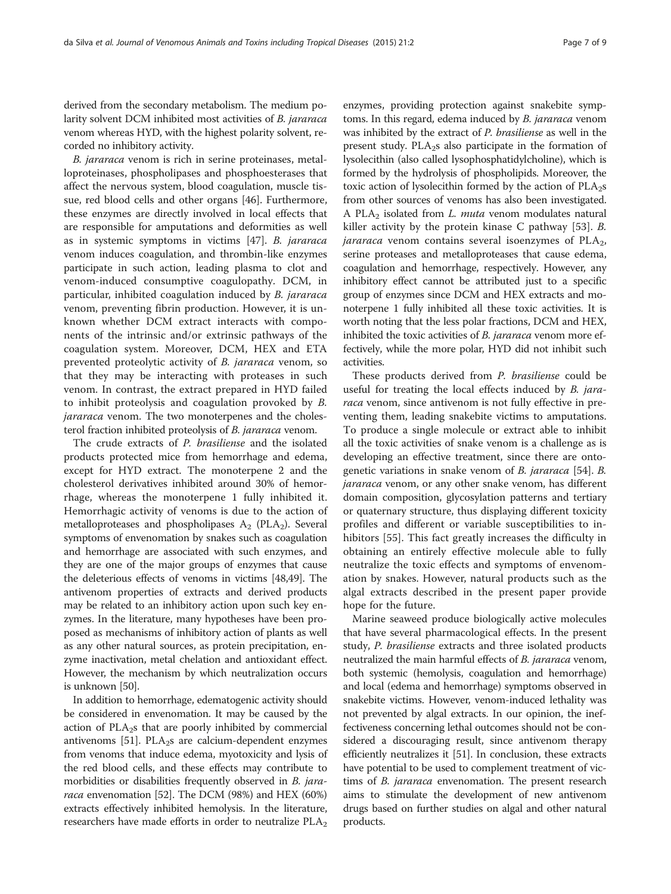derived from the secondary metabolism. The medium polarity solvent DCM inhibited most activities of B. jararaca venom whereas HYD, with the highest polarity solvent, recorded no inhibitory activity.

B. jararaca venom is rich in serine proteinases, metalloproteinases, phospholipases and phosphoesterases that affect the nervous system, blood coagulation, muscle tissue, red blood cells and other organs [[46\]](#page-8-0). Furthermore, these enzymes are directly involved in local effects that are responsible for amputations and deformities as well as in systemic symptoms in victims [\[47\]](#page-8-0). B. jararaca venom induces coagulation, and thrombin-like enzymes participate in such action, leading plasma to clot and venom-induced consumptive coagulopathy. DCM, in particular, inhibited coagulation induced by B. jararaca venom, preventing fibrin production. However, it is unknown whether DCM extract interacts with components of the intrinsic and/or extrinsic pathways of the coagulation system. Moreover, DCM, HEX and ETA prevented proteolytic activity of B. jararaca venom, so that they may be interacting with proteases in such venom. In contrast, the extract prepared in HYD failed to inhibit proteolysis and coagulation provoked by B. jararaca venom. The two monoterpenes and the cholesterol fraction inhibited proteolysis of B. jararaca venom.

The crude extracts of P. brasiliense and the isolated products protected mice from hemorrhage and edema, except for HYD extract. The monoterpene 2 and the cholesterol derivatives inhibited around 30% of hemorrhage, whereas the monoterpene 1 fully inhibited it. Hemorrhagic activity of venoms is due to the action of metalloproteases and phospholipases  $A_2$  (PLA<sub>2</sub>). Several symptoms of envenomation by snakes such as coagulation and hemorrhage are associated with such enzymes, and they are one of the major groups of enzymes that cause the deleterious effects of venoms in victims [\[48,49](#page-8-0)]. The antivenom properties of extracts and derived products may be related to an inhibitory action upon such key enzymes. In the literature, many hypotheses have been proposed as mechanisms of inhibitory action of plants as well as any other natural sources, as protein precipitation, enzyme inactivation, metal chelation and antioxidant effect. However, the mechanism by which neutralization occurs is unknown [\[50\]](#page-8-0).

In addition to hemorrhage, edematogenic activity should be considered in envenomation. It may be caused by the action of PLA<sub>2</sub>s that are poorly inhibited by commercial antivenoms [\[51\]](#page-8-0). PL $A_2$ s are calcium-dependent enzymes from venoms that induce edema, myotoxicity and lysis of the red blood cells, and these effects may contribute to morbidities or disabilities frequently observed in *B. jara*raca envenomation [\[52\]](#page-8-0). The DCM (98%) and HEX (60%) extracts effectively inhibited hemolysis. In the literature, researchers have made efforts in order to neutralize  $PLA_2$ 

enzymes, providing protection against snakebite symptoms. In this regard, edema induced by B. jararaca venom was inhibited by the extract of P. brasiliense as well in the present study. PLA<sub>2</sub>s also participate in the formation of lysolecithin (also called lysophosphatidylcholine), which is formed by the hydrolysis of phospholipids. Moreover, the toxic action of lysolecithin formed by the action of  $PLA_2s$ from other sources of venoms has also been investigated. A PLA<sub>2</sub> isolated from *L. muta* venom modulates natural killer activity by the protein kinase C pathway [[53](#page-8-0)]. B. *jararaca* venom contains several isoenzymes of  $PLA<sub>2</sub>$ , serine proteases and metalloproteases that cause edema, coagulation and hemorrhage, respectively. However, any inhibitory effect cannot be attributed just to a specific group of enzymes since DCM and HEX extracts and monoterpene 1 fully inhibited all these toxic activities. It is worth noting that the less polar fractions, DCM and HEX, inhibited the toxic activities of B. jararaca venom more effectively, while the more polar, HYD did not inhibit such activities.

These products derived from P. brasiliense could be useful for treating the local effects induced by *B. jara*raca venom, since antivenom is not fully effective in preventing them, leading snakebite victims to amputations. To produce a single molecule or extract able to inhibit all the toxic activities of snake venom is a challenge as is developing an effective treatment, since there are ontogenetic variations in snake venom of B. jararaca [\[54\]](#page-8-0). B. jararaca venom, or any other snake venom, has different domain composition, glycosylation patterns and tertiary or quaternary structure, thus displaying different toxicity profiles and different or variable susceptibilities to inhibitors [\[55](#page-8-0)]. This fact greatly increases the difficulty in obtaining an entirely effective molecule able to fully neutralize the toxic effects and symptoms of envenomation by snakes. However, natural products such as the algal extracts described in the present paper provide hope for the future.

Marine seaweed produce biologically active molecules that have several pharmacological effects. In the present study, P. brasiliense extracts and three isolated products neutralized the main harmful effects of *B. jararaca* venom, both systemic (hemolysis, coagulation and hemorrhage) and local (edema and hemorrhage) symptoms observed in snakebite victims. However, venom-induced lethality was not prevented by algal extracts. In our opinion, the ineffectiveness concerning lethal outcomes should not be considered a discouraging result, since antivenom therapy efficiently neutralizes it [[51\]](#page-8-0). In conclusion, these extracts have potential to be used to complement treatment of victims of *B. jararaca* envenomation. The present research aims to stimulate the development of new antivenom drugs based on further studies on algal and other natural products.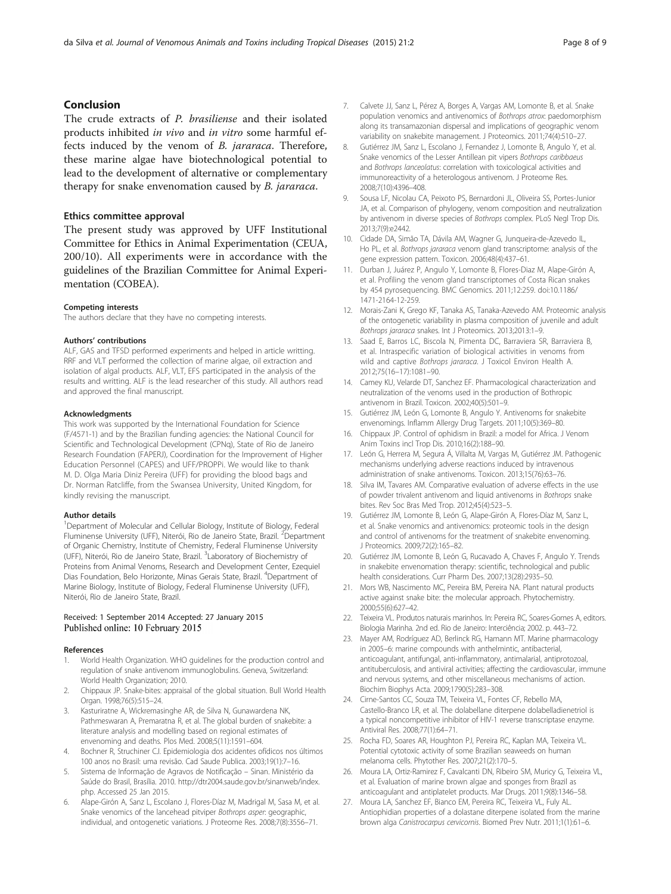## <span id="page-7-0"></span>Conclusion

The crude extracts of P. brasiliense and their isolated products inhibited in vivo and in vitro some harmful effects induced by the venom of B. jararaca. Therefore, these marine algae have biotechnological potential to lead to the development of alternative or complementary therapy for snake envenomation caused by B. jararaca.

#### Ethics committee approval

The present study was approved by UFF Institutional Committee for Ethics in Animal Experimentation (CEUA, 200/10). All experiments were in accordance with the guidelines of the Brazilian Committee for Animal Experimentation (COBEA).

#### Competing interests

The authors declare that they have no competing interests.

#### Authors' contributions

ALF, GAS and TFSD performed experiments and helped in article writting. RRF and VLT performed the collection of marine algae, oil extraction and isolation of algal products. ALF, VLT, EFS participated in the analysis of the results and writting. ALF is the lead researcher of this study. All authors read and approved the final manuscript.

#### Acknowledgments

This work was supported by the International Foundation for Science (F/4571-1) and by the Brazilian funding agencies: the National Council for Scientific and Technological Development (CPNq), State of Rio de Janeiro Research Foundation (FAPERJ), Coordination for the Improvement of Higher Education Personnel (CAPES) and UFF/PROPPi. We would like to thank M. D. Olga Maria Diniz Pereira (UFF) for providing the blood bags and Dr. Norman Ratcliffe, from the Swansea University, United Kingdom, for kindly revising the manuscript.

#### Author details

<sup>1</sup>Department of Molecular and Cellular Biology, Institute of Biology, Federal Fluminense University (UFF), Niterói, Rio de Janeiro State, Brazil. <sup>2</sup>Department of Organic Chemistry, Institute of Chemistry, Federal Fluminense University (UFF), Niterói, Rio de Janeiro State, Brazil. <sup>3</sup> Laboratory of Biochemistry of Proteins from Animal Venoms, Research and Development Center, Ezequiel Dias Foundation, Belo Horizonte, Minas Gerais State, Brazil. <sup>4</sup>Department of Marine Biology, Institute of Biology, Federal Fluminense University (UFF), Niterói, Rio de Janeiro State, Brazil.

#### Received: 1 September 2014 Accepted: 27 January 2015 Published online: 10 February 2015

#### References

- 1. World Health Organization. WHO guidelines for the production control and regulation of snake antivenom immunoglobulins. Geneva, Switzerland: World Health Organization; 2010.
- 2. Chippaux JP. Snake-bites: appraisal of the global situation. Bull World Health Organ. 1998;76(5):515–24.
- 3. Kasturiratne A, Wickremasinghe AR, de Silva N, Gunawardena NK, Pathmeswaran A, Premaratna R, et al. The global burden of snakebite: a literature analysis and modelling based on regional estimates of envenoming and deaths. Plos Med. 2008;5(11):1591–604.
- 4. Bochner R, Struchiner CJ. Epidemiologia dos acidentes ofídicos nos últimos 100 anos no Brasil: uma revisão. Cad Saude Publica. 2003;19(1):7–16.
- 5. Sistema de Informação de Agravos de Notificação Sinan. Ministério da Saúde do Brasil, Brasília. 2010. [http://dtr2004.saude.gov.br/sinanweb/index.](http://dtr2004.saude.gov.br/sinanweb/index.php) [php](http://dtr2004.saude.gov.br/sinanweb/index.php). Accessed 25 Jan 2015.
- Alape-Girón A, Sanz L, Escolano J, Flores-Díaz M, Madrigal M, Sasa M, et al. Snake venomics of the lancehead pitviper Bothrops asper: geographic, individual, and ontogenetic variations. J Proteome Res. 2008;7(8):3556–71.
- 7. Calvete JJ, Sanz L, Pérez A, Borges A, Vargas AM, Lomonte B, et al. Snake population venomics and antivenomics of Bothrops atrox: paedomorphism along its transamazonian dispersal and implications of geographic venom variability on snakebite management. J Proteomics. 2011;74(4):510–27.
- 8. Gutiérrez JM, Sanz L, Escolano J, Fernandez J, Lomonte B, Angulo Y, et al. Snake venomics of the Lesser Antillean pit vipers Bothrops caribbaeus and Bothrops lanceolatus: correlation with toxicological activities and immunoreactivity of a heterologous antivenom. J Proteome Res. 2008;7(10):4396–408.
- 9. Sousa LF, Nicolau CA, Peixoto PS, Bernardoni JL, Oliveira SS, Portes-Junior JA, et al. Comparison of phylogeny, venom composition and neutralization by antivenom in diverse species of Bothrops complex. PLoS Negl Trop Dis. 2013;7(9):e2442.
- 10. Cidade DA, Simão TA, Dávila AM, Wagner G, Junqueira-de-Azevedo IL, Ho PL, et al. Bothrops jararaca venom gland transcriptome: analysis of the gene expression pattern. Toxicon. 2006;48(4):437–61.
- 11. Durban J, Juárez P, Angulo Y, Lomonte B, Flores-Diaz M, Alape-Girón A, et al. Profiling the venom gland transcriptomes of Costa Rican snakes by 454 pyrosequencing. BMC Genomics. 2011;12:259. doi:10.1186/ 1471-2164-12-259.
- 12. Morais-Zani K, Grego KF, Tanaka AS, Tanaka-Azevedo AM. Proteomic analysis of the ontogenetic variability in plasma composition of juvenile and adult Bothrops jararaca snakes. Int J Proteomics. 2013;2013:1–9.
- 13. Saad E, Barros LC, Biscola N, Pimenta DC, Barraviera SR, Barraviera B, et al. Intraspecific variation of biological activities in venoms from wild and captive Bothrops jararaca. J Toxicol Environ Health A. 2012;75(16–17):1081–90.
- 14. Camey KU, Velarde DT, Sanchez EF. Pharmacological characterization and neutralization of the venoms used in the production of Bothropic antivenom in Brazil. Toxicon. 2002;40(5):501–9.
- 15. Gutiérrez JM, León G, Lomonte B, Angulo Y. Antivenoms for snakebite envenomings. Inflamm Allergy Drug Targets. 2011;10(5):369–80.
- 16. Chippaux JP. Control of ophidism in Brazil: a model for Africa. J Venom Anim Toxins incl Trop Dis. 2010;16(2):188–90.
- 17. León G, Herrera M, Segura Á, Villalta M, Vargas M, Gutiérrez JM. Pathogenic mechanisms underlying adverse reactions induced by intravenous administration of snake antivenoms. Toxicon. 2013;15(76):63–76.
- 18. Silva IM, Tavares AM. Comparative evaluation of adverse effects in the use of powder trivalent antivenom and liquid antivenoms in Bothrops snake bites. Rev Soc Bras Med Trop. 2012;45(4):523–5.
- 19. Gutiérrez JM, Lomonte B, León G, Alape-Girón A, Flores-Díaz M, Sanz L, et al. Snake venomics and antivenomics: proteomic tools in the design and control of antivenoms for the treatment of snakebite envenoming. J Proteomics. 2009;72(2):165–82.
- 20. Gutiérrez JM, Lomonte B, León G, Rucavado A, Chaves F, Angulo Y. Trends in snakebite envenomation therapy: scientific, technological and public health considerations. Curr Pharm Des. 2007;13(28):2935–50.
- 21. Mors WB, Nascimento MC, Pereira BM, Pereira NA. Plant natural products active against snake bite: the molecular approach. Phytochemistry. 2000;55(6):627–42.
- 22. Teixeira VL. Produtos naturais marinhos. In: Pereira RC, Soares-Gomes A, editors. Biologia Marinha. 2nd ed. Rio de Janeiro: Interciência; 2002. p. 443–72.
- 23. Mayer AM, Rodríguez AD, Berlinck RG, Hamann MT. Marine pharmacology in 2005–6: marine compounds with anthelmintic, antibacterial, anticoagulant, antifungal, anti-inflammatory, antimalarial, antiprotozoal, antituberculosis, and antiviral activities; affecting the cardiovascular, immune and nervous systems, and other miscellaneous mechanisms of action. Biochim Biophys Acta. 2009;1790(5):283–308.
- 24. Cirne-Santos CC, Souza TM, Teixeira VL, Fontes CF, Rebello MA, Castello-Branco LR, et al. The dolabellane diterpene dolabelladienetriol is a typical noncompetitive inhibitor of HIV-1 reverse transcriptase enzyme. Antiviral Res. 2008;77(1):64–71.
- 25. Rocha FD, Soares AR, Houghton PJ, Pereira RC, Kaplan MA, Teixeira VL. Potential cytotoxic activity of some Brazilian seaweeds on human melanoma cells. Phytother Res. 2007;21(2):170–5.
- 26. Moura LA, Ortiz-Ramirez F, Cavalcanti DN, Ribeiro SM, Muricy G, Teixeira VL, et al. Evaluation of marine brown algae and sponges from Brazil as anticoagulant and antiplatelet products. Mar Drugs. 2011;9(8):1346–58.
- 27. Moura LA, Sanchez EF, Bianco EM, Pereira RC, Teixeira VL, Fuly AL. Antiophidian properties of a dolastane diterpene isolated from the marine brown alga Canistrocarpus cervicornis. Biomed Prev Nutr. 2011;1(1):61–6.